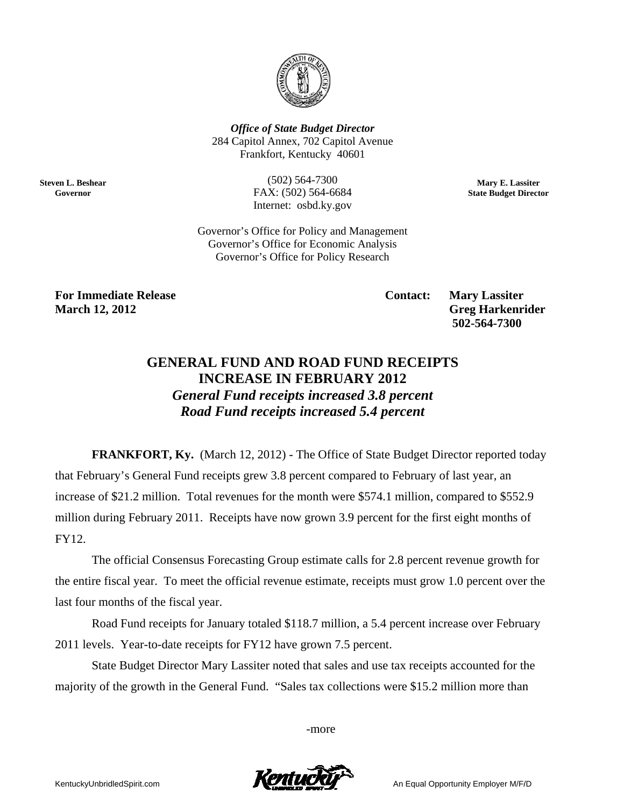

**Office of State Budget Director** 284 Capitol Annex, 702 Capitol Avenue Frankfort, Kentucky 40601

> $(502) 564 - 7300$ FAX: (502) 564-6684 Internet: osbd.ky.gov

Mary E. Lassiter **State Budget Director** 

Governor's Office for Policy and Management Governor's Office for Economic Analysis Governor's Office for Policy Research

**For Immediate Release March 12, 2012** 

**Steven L. Beshear** 

Governor

**Contact:** 

**Mary Lassiter Greg Harkenrider** 502-564-7300

## **GENERAL FUND AND ROAD FUND RECEIPTS INCREASE IN FEBRUARY 2012 General Fund receipts increased 3.8 percent Road Fund receipts increased 5.4 percent**

**FRANKFORT, Ky.** (March 12, 2012) - The Office of State Budget Director reported today that February's General Fund receipts grew 3.8 percent compared to February of last year, an increase of \$21.2 million. Total revenues for the month were \$574.1 million, compared to \$552.9 million during February 2011. Receipts have now grown 3.9 percent for the first eight months of FY12.

The official Consensus Forecasting Group estimate calls for 2.8 percent revenue growth for the entire fiscal year. To meet the official revenue estimate, receipts must grow 1.0 percent over the last four months of the fiscal year.

Road Fund receipts for January totaled \$118.7 million, a 5.4 percent increase over February 2011 levels. Year-to-date receipts for FY12 have grown 7.5 percent.

State Budget Director Mary Lassiter noted that sales and use tax receipts accounted for the majority of the growth in the General Fund. "Sales tax collections were \$15.2 million more than

-more

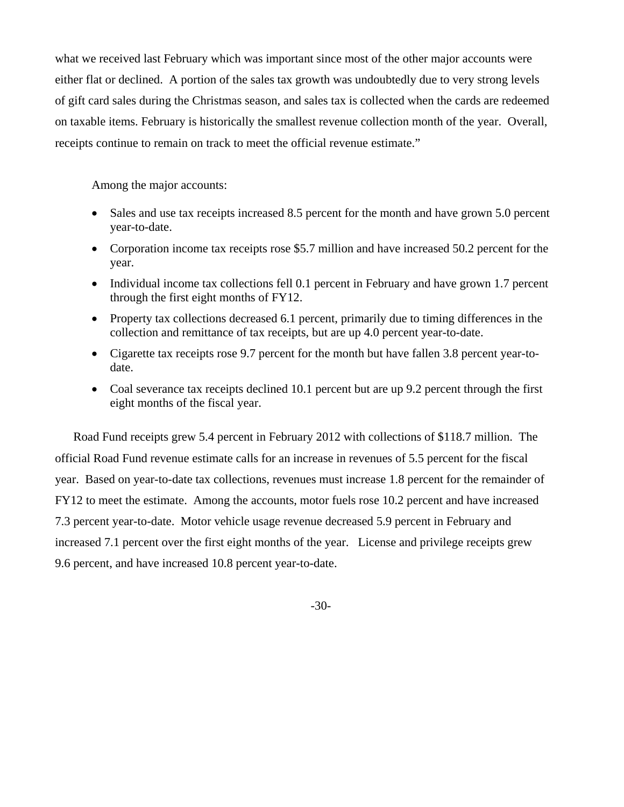what we received last February which was important since most of the other major accounts were either flat or declined. A portion of the sales tax growth was undoubtedly due to very strong levels of gift card sales during the Christmas season, and sales tax is collected when the cards are redeemed on taxable items. February is historically the smallest revenue collection month of the year. Overall, receipts continue to remain on track to meet the official revenue estimate."

Among the major accounts:

- Sales and use tax receipts increased 8.5 percent for the month and have grown 5.0 percent year-to-date.
- Corporation income tax receipts rose \$5.7 million and have increased 50.2 percent for the year.
- Individual income tax collections fell 0.1 percent in February and have grown 1.7 percent through the first eight months of FY12.
- Property tax collections decreased 6.1 percent, primarily due to timing differences in the collection and remittance of tax receipts, but are up 4.0 percent year-to-date.
- Cigarette tax receipts rose 9.7 percent for the month but have fallen 3.8 percent year-todate.
- Coal severance tax receipts declined 10.1 percent but are up 9.2 percent through the first eight months of the fiscal year.

Road Fund receipts grew 5.4 percent in February 2012 with collections of \$118.7 million. The official Road Fund revenue estimate calls for an increase in revenues of 5.5 percent for the fiscal year. Based on year-to-date tax collections, revenues must increase 1.8 percent for the remainder of FY12 to meet the estimate. Among the accounts, motor fuels rose 10.2 percent and have increased 7.3 percent year-to-date. Motor vehicle usage revenue decreased 5.9 percent in February and increased 7.1 percent over the first eight months of the year. License and privilege receipts grew 9.6 percent, and have increased 10.8 percent year-to-date.

-30-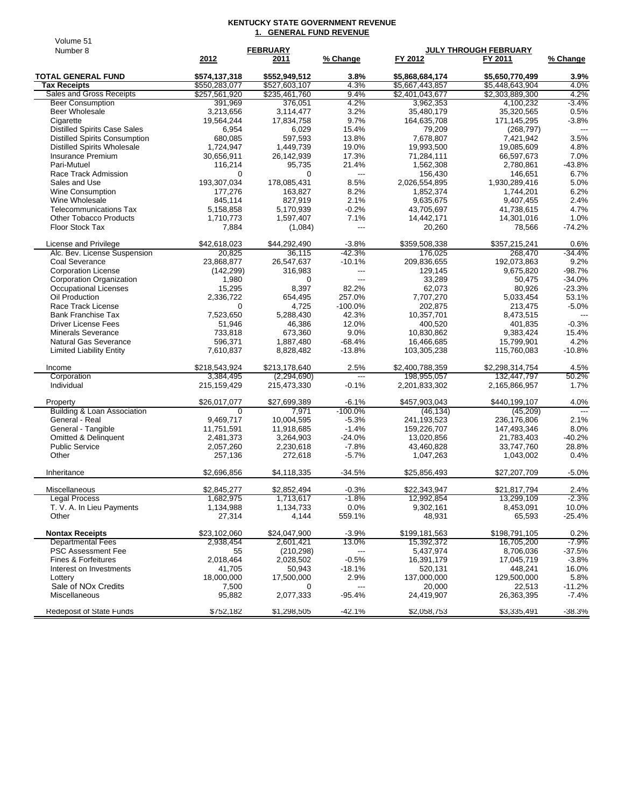## **KENTUCKY STATE GOVERNMENT REVENUE 1. GENERAL FUND REVENUE**

| Volume 51                              |                |                 |            |                              |                 |          |
|----------------------------------------|----------------|-----------------|------------|------------------------------|-----------------|----------|
| Number 8                               |                | <b>FEBRUARY</b> |            | <b>JULY THROUGH FEBRUARY</b> |                 |          |
|                                        | 2012           | <u> 2011</u>    | % Change   | FY 2012                      | FY 2011         | % Change |
| <b>TOTAL GENERAL FUND</b>              | \$574,137,318  | \$552,949,512   | 3.8%       | \$5,868,684,174              | \$5,650,770,499 | 3.9%     |
| Tax Receipts                           | \$550,283,077  | \$527,603,107   | 4.3%       | \$5,667,443,857              | \$5,448,643,904 | 4.0%     |
| Sales and Gross Receipts               | \$257,561,920  | \$235,461,760   | 9.4%       | \$2,401,043,677              | \$2,303,889,300 | 4.2%     |
| <b>Beer Consumption</b>                | 391,969        | 376,051         | 4.2%       | 3,962,353                    | 4,100,232       | $-3.4%$  |
| <b>Beer Wholesale</b>                  | 3,213,656      | 3,114,477       | 3.2%       | 35,480,179                   | 35,320,565      | 0.5%     |
| Cigarette                              | 19,564,244     | 17,834,758      | 9.7%       | 164,635,708                  | 171,145,295     | $-3.8%$  |
| <b>Distilled Spirits Case Sales</b>    | 6,954          | 6,029           | 15.4%      | 79,209                       | (268, 797)      |          |
| <b>Distilled Spirits Consumption</b>   | 680,085        | 597,593         | 13.8%      | 7,678,807                    | 7,421,942       | 3.5%     |
| Distilled Spirits Wholesale            | 1,724,947      | 1,449,739       | 19.0%      | 19,993,500                   | 19,085,609      | 4.8%     |
| <b>Insurance Premium</b>               | 30,656,911     | 26,142,939      | 17.3%      | 71,284,111                   | 66,597,673      | 7.0%     |
| Pari-Mutuel                            | 116,214        | 95,735          | 21.4%      | 1,562,308                    | 2,780,861       | $-43.8%$ |
| Race Track Admission                   | $\Omega$       | $\mathbf 0$     | ---        | 156,430                      | 146,651         | 6.7%     |
| Sales and Use                          | 193,307,034    | 178,085,431     | 8.5%       | 2,026,554,895                | 1,930,289,416   | 5.0%     |
| Wine Consumption                       | 177,276        | 163,827         | 8.2%       | 1,852,374                    | 1,744,201       | 6.2%     |
| Wine Wholesale                         | 845,114        | 827,919         | 2.1%       | 9,635,675                    | 9,407,455       | 2.4%     |
| <b>Telecommunications Tax</b>          | 5,158,858      | 5,170,939       | $-0.2%$    | 43,705,697                   | 41,738,615      | 4.7%     |
| <b>Other Tobacco Products</b>          | 1,710,773      | 1,597,407       | 7.1%       | 14,442,171                   | 14,301,016      | 1.0%     |
| Floor Stock Tax                        | 7,884          | (1,084)         | ---        | 20,260                       | 78,566          | $-74.2%$ |
| License and Privilege                  | \$42,618,023   | \$44,292,490    | $-3.8%$    | \$359,508,338                | \$357,215,241   | 0.6%     |
| Alc. Bev. License Suspension           | 20,825         | 36.115          | -42.3%     | 176,025                      | 268,470         | -34.4%   |
| Coal Severance                         | 23,868,877     | 26,547,637      | $-10.1%$   | 209,836,655                  | 192,073,863     | 9.2%     |
| <b>Corporation License</b>             | (142, 299)     | 316,983         | ---        | 129,145                      | 9.675.820       | $-98.7%$ |
| <b>Corporation Organization</b>        | 1,980          | 0               | $---$      | 33,289                       | 50,475          | $-34.0%$ |
| <b>Occupational Licenses</b>           | 15,295         | 8,397           | 82.2%      | 62,073                       | 80,926          | $-23.3%$ |
| Oil Production                         | 2,336,722      | 654,495         | 257.0%     | 7,707,270                    | 5,033,454       | 53.1%    |
| Race Track License                     | 0              | 4,725           | $-100.0%$  | 202,875                      | 213,475         | $-5.0%$  |
| Bank Franchise Tax                     | 7,523,650      | 5,288,430       | 42.3%      | 10,357,701                   | 8,473,515       | $---$    |
| <b>Driver License Fees</b>             | 51,946         | 46,386          | 12.0%      | 400,520                      | 401,835         | $-0.3%$  |
| <b>Minerals Severance</b>              | 733,818        | 673,360         | 9.0%       | 10,830,862                   | 9,383,424       | 15.4%    |
| <b>Natural Gas Severance</b>           | 596,371        | 1,887,480       | $-68.4%$   | 16,466,685                   | 15,799,901      | 4.2%     |
| <b>Limited Liability Entity</b>        | 7,610,837      | 8,828,482       | $-13.8%$   | 103,305,238                  | 115,760,083     | $-10.8%$ |
| Income                                 | \$218,543,924  | \$213,178,640   | 2.5%       | \$2,400,788,359              | \$2,298,314,754 | 4.5%     |
| Corporation                            | 3,384,495      | (2, 294, 690)   | ---        | 198,955,057                  | 132,447,797     | 50.2%    |
| Individual                             | 215, 159, 429  | 215,473,330     | $-0.1%$    | 2,201,833,302                | 2,165,866,957   | 1.7%     |
| Property                               | \$26,017,077   | \$27,699,389    | $-6.1%$    | \$457,903,043                | \$440,199,107   | 4.0%     |
| <b>Building &amp; Loan Association</b> | $\overline{0}$ | 7,971           | $-100.0\%$ | (46, 134)                    | (45, 209)       |          |
| General - Real                         | 9,469,717      | 10,004,595      | $-5.3%$    | 241,193,523                  | 236,176,806     | 2.1%     |
| General - Tangible                     | 11,751,591     | 11,918,685      | $-1.4%$    | 159,226,707                  | 147,493,346     | 8.0%     |
| <b>Omitted &amp; Delinquent</b>        | 2,481,373      | 3,264,903       | $-24.0%$   | 13,020,856                   | 21,783,403      | $-40.2%$ |
| <b>Public Service</b>                  | 2,057,260      | 2,230,618       | $-7.8%$    | 43,460,828                   | 33,747,760      | 28.8%    |
| Other                                  | 257,136        | 272,618         | $-5.7%$    | 1,047,263                    | 1,043,002       | 0.4%     |
| Inheritance                            | \$2,696,856    | \$4,118,335     | $-34.5%$   | \$25,856,493                 | \$27,207,709    | -5.0%    |
| Miscellaneous                          | \$2,845,277    | \$2,852,494     | $-0.3%$    | \$22,343,947                 | \$21,817,794    | 2.4%     |
| <b>Legal Process</b>                   | 1,682,975      | 1,713,617       | $-1.8%$    | 12,992,854                   | 13,299,109      | $-2.3%$  |
| T. V. A. In Lieu Payments              | 1,134,988      | 1,134,733       | 0.0%       | 9,302,161                    | 8,453,091       | 10.0%    |
| Other                                  | 27,314         | 4,144           | 559.1%     | 48,931                       | 65,593          | $-25.4%$ |
| <b>Nontax Receipts</b>                 | \$23,102,060   | \$24,047,900    | $-3.9%$    | \$199,181,563                | \$198,791,105   | 0.2%     |
| <b>Departmental Fees</b>               | 2,938,454      | 2,601,421       | 13.0%      | 15,392,372                   | 16,705,200      | $-7.9%$  |
| <b>PSC Assessment Fee</b>              | 55             | (210, 298)      |            | 5,437,974                    | 8,706,036       | $-37.5%$ |
| <b>Fines &amp; Forfeitures</b>         | 2,018,464      | 2,028,502       | $-0.5%$    | 16,391,179                   | 17,045,719      | $-3.8%$  |
| Interest on Investments                | 41,705         | 50,943          | $-18.1%$   | 520,131                      | 448,241         | 16.0%    |
| Lottery                                | 18,000,000     | 17,500,000      | 2.9%       | 137,000,000                  | 129,500,000     | 5.8%     |
| Sale of NO <sub>x</sub> Credits        | 7,500          | 0               | ---        | 20,000                       | 22,513          | $-11.2%$ |
| Miscellaneous                          | 95,882         | 2,077,333       | $-95.4%$   | 24,419,907                   | 26,363,395      | -7.4%    |
|                                        |                |                 |            |                              |                 |          |
| <b>Redeposit of State Funds</b>        | \$752,182      | \$1,298,505     | $-42.1%$   | \$2,058,753                  | \$3,335,491     | $-38.3%$ |